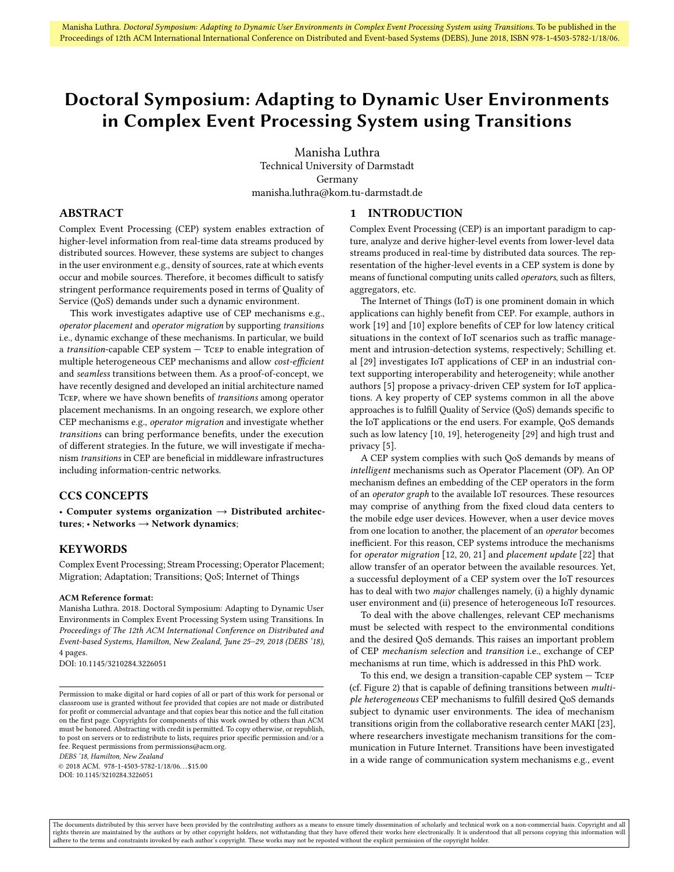## <span id="page-0-0"></span>Doctoral Symposium: Adapting to Dynamic User Environments in Complex Event Processing System using Transitions

Manisha Luthra Technical University of Darmstadt Germany manisha.luthra@kom.tu-darmstadt.de

#### ABSTRACT

Complex Event Processing (CEP) system enables extraction of higher-level information from real-time data streams produced by distributed sources. However, these systems are subject to changes in the user environment e.g., density of sources, rate at which events occur and mobile sources. Therefore, it becomes difficult to satisfy stringent performance requirements posed in terms of Quality of Service (QoS) demands under such a dynamic environment.

This work investigates adaptive use of CEP mechanisms e.g., operator placement and operator migration by supporting transitions i.e., dynamic exchange of these mechanisms. In particular, we build a transition-capable CEP system — Tcep to enable integration of multiple heterogeneous CEP mechanisms and allow cost-efficient and seamless transitions between them. As a proof-of-concept, we have recently designed and developed an initial architecture named TCEP, where we have shown benefits of transitions among operator placement mechanisms. In an ongoing research, we explore other CEP mechanisms e.g., operator migration and investigate whether transitions can bring performance benefits, under the execution of different strategies. In the future, we will investigate if mechanism transitions in CEP are beneficial in middleware infrastructures including information-centric networks.

#### CCS CONCEPTS

• Computer systems organization  $\rightarrow$  Distributed architectures; • Networks  $\rightarrow$  Network dynamics;

#### **KEYWORDS**

Complex Event Processing; Stream Processing; Operator Placement; Migration; Adaptation; Transitions; QoS; Internet of Things

#### ACM Reference format:

Manisha Luthra. 2018. Doctoral Symposium: Adapting to Dynamic User Environments in Complex Event Processing System using Transitions. In Proceedings of The 12th ACM International Conference on Distributed and Event-based Systems, Hamilton, New Zealand, June 25–29, 2018 (DEBS '18), [4](#page-3-0) pages.

DOI: 10.1145/3210284.3226051

DEBS '18, Hamilton, New Zealand

 $@ 2018$  ACM. 978-1-4503-5782-1/18/06...\$15.00 DOI: 10.1145/3210284.3226051

# 1 INTRODUCTION

Complex Event Processing (CEP) is an important paradigm to capture, analyze and derive higher-level events from lower-level data streams produced in real-time by distributed data sources. The representation of the higher-level events in a CEP system is done by means of functional computing units called operators, such as filters, aggregators, etc.

The Internet of Things (IoT) is one prominent domain in which applications can highly benefit from CEP. For example, authors in work [\[19\]](#page-3-1) and [\[10\]](#page-3-2) explore benefits of CEP for low latency critical situations in the context of IoT scenarios such as traffic management and intrusion-detection systems, respectively; Schilling et. al [\[29\]](#page-3-3) investigates IoT applications of CEP in an industrial context supporting interoperability and heterogeneity; while another authors [\[5\]](#page-3-4) propose a privacy-driven CEP system for IoT applications. A key property of CEP systems common in all the above approaches is to fulfill Quality of Service (QoS) demands specific to the IoT applications or the end users. For example, QoS demands such as low latency [\[10,](#page-3-2) [19\]](#page-3-1), heterogeneity [\[29\]](#page-3-3) and high trust and privacy [\[5\]](#page-3-4).

A CEP system complies with such QoS demands by means of intelligent mechanisms such as Operator Placement (OP). An OP mechanism defines an embedding of the CEP operators in the form of an operator graph to the available IoT resources. These resources may comprise of anything from the fixed cloud data centers to the mobile edge user devices. However, when a user device moves from one location to another, the placement of an operator becomes inefficient. For this reason, CEP systems introduce the mechanisms for operator migration [\[12,](#page-3-5) [20,](#page-3-6) [21\]](#page-3-7) and placement update [\[22\]](#page-3-8) that allow transfer of an operator between the available resources. Yet, a successful deployment of a CEP system over the IoT resources has to deal with two major challenges namely, (i) a highly dynamic user environment and (ii) presence of heterogeneous IoT resources.

To deal with the above challenges, relevant CEP mechanisms must be selected with respect to the environmental conditions and the desired QoS demands. This raises an important problem of CEP mechanism selection and transition i.e., exchange of CEP mechanisms at run time, which is addressed in this PhD work.

To this end, we design a transition-capable CEP system — Tcep (cf. Figure [2\)](#page-1-0) that is capable of defining transitions between *multi*ple heterogeneous CEP mechanisms to fulfill desired QoS demands subject to dynamic user environments. The idea of mechanism transitions origin from the collaborative research center MAKI [\[23\]](#page-3-9), where researchers investigate mechanism transitions for the communication in Future Internet. Transitions have been investigated in a wide range of communication system mechanisms e.g., event

Permission to make digital or hard copies of all or part of this work for personal or classroom use is granted without fee provided that copies are not made or distributed for profit or commercial advantage and that copies bear this notice and the full citation on the first page. Copyrights for components of this work owned by others than ACM must be honored. Abstracting with credit is permitted. To copy otherwise, or republish, to post on servers or to redistribute to lists, requires prior specific permission and/or a fee. Request permissions from permissions@acm.org.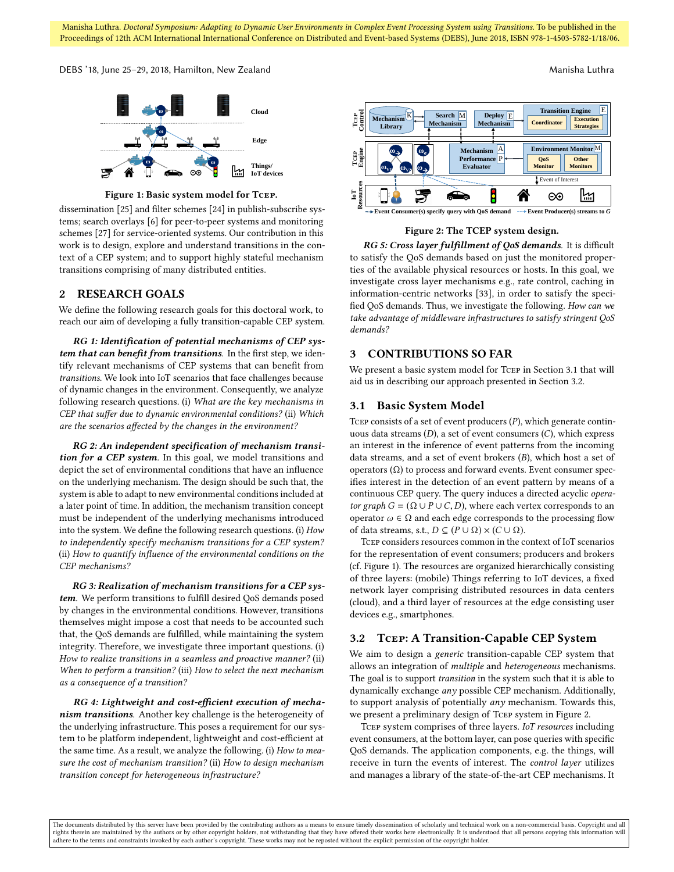Manisha Luthra. Doctoral Symposium: Adapting to Dynamic User Environments in Complex Event Processing System using Transitions. To be published in the Proceedings of 12th ACM International International Conference on Distributed and Event-based Systems (DEBS), June 2018, ISBN 978-1-4503-5782-1/18/06.

<span id="page-1-3"></span>DEBS '18, June 25–29, 2018, Hamilton, New Zealand Manisha Luthra Manisha Luthra Manisha Luthra



Figure 1: Basic system model for Tcep.

dissemination  $[25]$  and filter schemes  $[24]$  in publish-subscribe systems; search overlays [\[6\]](#page-3-12) for peer-to-peer systems and monitoring schemes [\[27\]](#page-3-13) for service-oriented systems. Our contribution in this work is to design, explore and understand transitions in the context of a [CEP](#page-0-0) system; and to support highly stateful mechanism transitions comprising of many distributed entities.

#### <span id="page-1-4"></span>2 RESEARCH GOALS

We define the following research goals for this doctoral work, to reach our aim of developing a fully transition-capable [CEP](#page-0-0) system.

RG 1: Identification of potential mechanisms of [CEP](#page-0-0) system that can benefit from transitions. In the first step, we iden-tify relevant mechanisms of [CEP](#page-0-0) systems that can benefit from transitions. We look into [IoT](#page-0-0) scenarios that face challenges because of dynamic changes in the environment. Consequently, we analyze following research questions. (i) What are the key mechanisms in [CEP](#page-0-0) that suffer due to dynamic environmental conditions? (ii) Which are the scenarios affected by the changes in the environment?

RG 2: An independent specification of mechanism transi-tion for a [CEP](#page-0-0) system. In this goal, we model transitions and depict the set of environmental conditions that have an influence on the underlying mechanism. The design should be such that, the system is able to adapt to new environmental conditions included at a later point of time. In addition, the mechanism transition concept must be independent of the underlying mechanisms introduced into the system. We define the following research questions. (i) How to independently specify mechanism transitions for a [CEP](#page-0-0) system?  $(i)$  How to quantify influence of the environmental conditions on the [CEP](#page-0-0) mechanisms?

RG 3: Realization of mechanism transitions for a [CEP](#page-0-0) sys-tem. We perform transitions to fulfill desired [QoS](#page-0-0) demands posed by changes in the environmental conditions. However, transitions themselves might impose a cost that needs to be accounted such that, the [QoS](#page-0-0) demands are fulfilled, while maintaining the system integrity. Therefore, we investigate three important questions. (i) How to realize transitions in a seamless and proactive manner? (ii) When to perform a transition? (iii) How to select the next mechanism as a consequence of a transition?

RG 4: Lightweight and cost-efficient execution of mechanism transitions. Another key challenge is the heterogeneity of the underlying infrastructure. This poses a requirement for our system to be platform independent, lightweight and cost-efficient at the same time. As a result, we analyze the following. (i) How to measure the cost of mechanism transition? (ii) How to design mechanism transition concept for heterogeneous infrastructure?

<span id="page-1-0"></span>

Figure 2: The TCEP system design.

RG 5: Cross layer fulfillment of [QoS](#page-0-0) demands. It is difficult to satisfy the [QoS](#page-0-0) demands based on just the monitored properties of the available physical resources or hosts. In this goal, we investigate cross layer mechanisms e.g., rate control, caching in information-centric networks [\[33\]](#page-3-14), in order to satisfy the speci- fied [QoS](#page-0-0) demands. Thus, we investigate the following. How can we take advantage of middleware infrastructures to satisfy stringent [QoS](#page-0-0) demands?

#### 3 CONTRIBUTIONS SO FAR

We present a basic system model for Tcep in Section [3.1](#page-1-1) that will aid us in describing our approach presented in Section [3.2.](#page-1-2)

#### <span id="page-1-1"></span>3.1 Basic System Model

TCEP consists of a set of event producers  $(P)$ , which generate continuous data streams (D), a set of event consumers (C), which express an interest in the inference of event patterns from the incoming data streams, and a set of event brokers  $(B)$ , which host a set of operators (Ω) to process and forward events. Event consumer specifies interest in the detection of an event pattern by means of a continuous CEP query. The query induces a directed acyclic operator graph  $G = (\Omega \cup P \cup C, D)$ , where each vertex corresponds to an operator  $\omega \in \Omega$  and each edge corresponds to the processing flow of data streams, s.t.,  $D \subseteq (P \cup \Omega) \times (C \cup \Omega)$ .

Tcep considers resources common in the context of [IoT](#page-0-0) scenarios for the representation of event consumers; producers and brokers (cf. Figure [1\)](#page-1-3). The resources are organized hierarchically consisting of three layers: (mobile) Things referring to IoT devices, a fixed network layer comprising distributed resources in data centers (cloud), and a third layer of resources at the edge consisting user devices e.g., smartphones.

#### <span id="page-1-2"></span>3.2 Tcep: A Transition-Capable [CEP](#page-0-0) System

We aim to design a generic transition-capable [CEP](#page-0-0) system that allows an integration of multiple and heterogeneous mechanisms. The goal is to support transition in the system such that it is able to dynamically exchange any possible [CEP](#page-0-0) mechanism. Additionally, to support analysis of potentially any mechanism. Towards this, we present a preliminary design of Tcep system in Figure [2.](#page-1-0)

Tcep system comprises of three layers. IoT resources including event consumers, at the bottom layer, can pose queries with specific [QoS](#page-0-0) demands. The application components, e.g. the things, will receive in turn the events of interest. The control layer utilizes and manages a library of the state-of-the-art [CEP](#page-0-0) mechanisms. It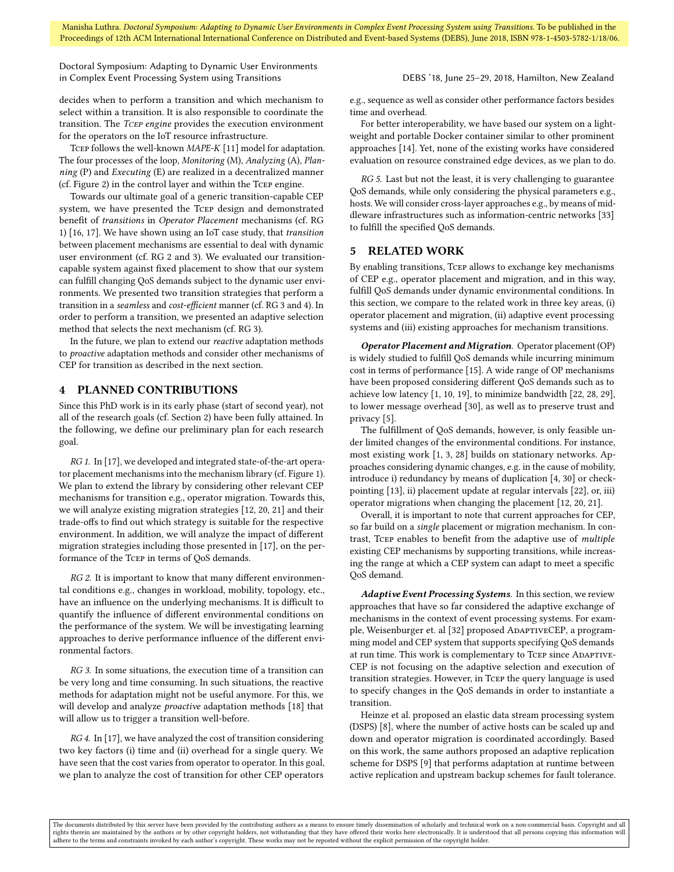Doctoral Symposium: Adapting to Dynamic User Environments in Complex Event Processing System using Transitions **DEBS** '18, June 25-29, 2018, Hamilton, New Zealand

decides when to perform a transition and which mechanism to select within a transition. It is also responsible to coordinate the transition. The Tcep engine provides the execution environment for the operators on the [IoT](#page-0-0) resource infrastructure.

Tcep follows the well-known MAPE-K [\[11\]](#page-3-15) model for adaptation. The four processes of the loop, Monitoring (M), Analyzing (A), Planning (P) and Executing (E) are realized in a decentralized manner (cf. Figure [2\)](#page-1-0) in the control layer and within the Tcep engine.

Towards our ultimate goal of a generic transition-capable [CEP](#page-0-0) system, we have presented the Tcep design and demonstrated benefit of transitions in Operator Placement mechanisms (cf. RG 1) [\[16,](#page-3-16) [17\]](#page-3-17). We have shown using an [IoT](#page-0-0) case study, that transition between placement mechanisms are essential to deal with dynamic user environment (cf. RG 2 and 3). We evaluated our transitioncapable system against fixed placement to show that our system can fulfill changing [QoS](#page-0-0) demands subject to the dynamic user environments. We presented two transition strategies that perform a transition in a seamless and cost-efficient manner (cf. RG 3 and 4). In order to perform a transition, we presented an adaptive selection method that selects the next mechanism (cf. RG 3).

In the future, we plan to extend our reactive adaptation methods to proactive adaptation methods and consider other mechanisms of [CEP](#page-0-0) for transition as described in the next section.

### 4 PLANNED CONTRIBUTIONS

Since this PhD work is in its early phase (start of second year), not all of the research goals (cf. Section [2\)](#page-1-4) have been fully attained. In the following, we define our preliminary plan for each research goal.

RG 1. In [\[17\]](#page-3-17), we developed and integrated state-of-the-art operator placement mechanisms into the mechanism library (cf. Figure [1\)](#page-1-3). We plan to extend the library by considering other relevant [CEP](#page-0-0) mechanisms for transition e.g., operator migration. Towards this, we will analyze existing migration strategies [\[12,](#page-3-5) [20,](#page-3-6) [21\]](#page-3-7) and their trade-offs to find out which strategy is suitable for the respective environment. In addition, we will analyze the impact of different migration strategies including those presented in [\[17\]](#page-3-17), on the performance of the Tcep in terms of [QoS](#page-0-0) demands.

 $RG$  2. It is important to know that many different environmental conditions e.g., changes in workload, mobility, topology, etc., have an influence on the underlying mechanisms. It is difficult to quantify the influence of different environmental conditions on the performance of the system. We will be investigating learning approaches to derive performance influence of the different environmental factors.

RG 3. In some situations, the execution time of a transition can be very long and time consuming. In such situations, the reactive methods for adaptation might not be useful anymore. For this, we will develop and analyze *proactive* adaptation methods [\[18\]](#page-3-18) that will allow us to trigger a transition well-before.

RG 4. In [\[17\]](#page-3-17), we have analyzed the cost of transition considering two key factors (i) time and (ii) overhead for a single query. We have seen that the cost varies from operator to operator. In this goal, we plan to analyze the cost of transition for other [CEP](#page-0-0) operators

e.g., sequence as well as consider other performance factors besides time and overhead.

For better interoperability, we have based our system on a lightweight and portable Docker container similar to other prominent approaches [\[14\]](#page-3-19). Yet, none of the existing works have considered evaluation on resource constrained edge devices, as we plan to do.

RG 5. Last but not the least, it is very challenging to guarantee [QoS](#page-0-0) demands, while only considering the physical parameters e.g., hosts. We will consider cross-layer approaches e.g., by means of middleware infrastructures such as information-centric networks [\[33\]](#page-3-14) to fulfill the specified [QoS](#page-0-0) demands.

#### 5 RELATED WORK

By enabling transitions, Tcep allows to exchange key mechanisms of [CEP](#page-0-0) e.g., operator placement and migration, and in this way, fulfill [QoS](#page-0-0) demands under dynamic environmental conditions. In this section, we compare to the related work in three key areas, (i) operator placement and migration, (ii) adaptive event processing systems and (iii) existing approaches for mechanism transitions.

Operator Placement and Migration. Operator placement (OP) is widely studied to fulfill [QoS](#page-0-0) demands while incurring minimum cost in terms of performance [\[15\]](#page-3-20). A wide range of [OP](#page-0-0) mechanisms have been proposed considering different [QoS](#page-0-0) demands such as to achieve low latency [\[1,](#page-3-21) [10,](#page-3-2) [19\]](#page-3-1), to minimize bandwidth [\[22,](#page-3-8) [28,](#page-3-22) [29\]](#page-3-3), to lower message overhead [\[30\]](#page-3-23), as well as to preserve trust and privacy [\[5\]](#page-3-4).

The fulfillment of [QoS](#page-0-0) demands, however, is only feasible under limited changes of the environmental conditions. For instance, most existing work [\[1,](#page-3-21) [3,](#page-3-24) [28\]](#page-3-22) builds on stationary networks. Approaches considering dynamic changes, e.g. in the cause of mobility, introduce i) redundancy by means of duplication [\[4,](#page-3-25) [30\]](#page-3-23) or checkpointing [\[13\]](#page-3-26), ii) placement update at regular intervals [\[22\]](#page-3-8), or, iii) operator migrations when changing the placement [\[12,](#page-3-5) [20,](#page-3-6) [21\]](#page-3-7).

Overall, it is important to note that current approaches for [CEP,](#page-0-0) so far build on a single placement or migration mechanism. In contrast, TCEP enables to benefit from the adaptive use of *multiple* existing [CEP](#page-0-0) mechanisms by supporting transitions, while increas-ing the range at which a [CEP](#page-0-0) system can adapt to meet a specific [QoS](#page-0-0) demand.

Adaptive Event Processing Systems. In this section, we review approaches that have so far considered the adaptive exchange of mechanisms in the context of event processing systems. For exam-ple, Weisenburger et. al [\[32\]](#page-3-27) proposed ADAPTIVECEP, a programming model and CEP system that supports specifying QoS demands at run time. This work is complementary to TCEP since ADAPTIVE-CEP is not focusing on the adaptive selection and execution of transition strategies. However, in Tcep the query language is used to specify changes in the QoS demands in order to instantiate a transition.

Heinze et al. proposed an elastic data stream processing system (DSPS) [\[8\]](#page-3-28), where the number of active hosts can be scaled up and down and operator migration is coordinated accordingly. Based on this work, the same authors proposed an adaptive replication scheme for DSPS [\[9\]](#page-3-29) that performs adaptation at runtime between active replication and upstream backup schemes for fault tolerance.